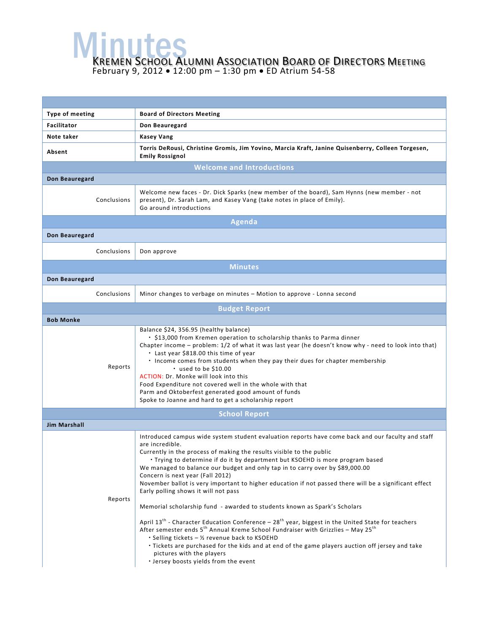**MENUTES**<br>KREMEN SCHOOL ALUMNI ASSOCIATION BOARD OF DIRECTORS MEETING February 9, 2012 • 12:00 pm – 1:30 pm • ED Atrium 54-58

| <b>Type of meeting</b> | <b>Board of Directors Meeting</b>                                                                                                                                                                                                                                                                                                                                                                                                                                                                                                                                                                                                                                                                                                                                                                                                                                                                                                                                                                                                                                                                     |  |  |  |
|------------------------|-------------------------------------------------------------------------------------------------------------------------------------------------------------------------------------------------------------------------------------------------------------------------------------------------------------------------------------------------------------------------------------------------------------------------------------------------------------------------------------------------------------------------------------------------------------------------------------------------------------------------------------------------------------------------------------------------------------------------------------------------------------------------------------------------------------------------------------------------------------------------------------------------------------------------------------------------------------------------------------------------------------------------------------------------------------------------------------------------------|--|--|--|
| <b>Facilitator</b>     | Don Beauregard                                                                                                                                                                                                                                                                                                                                                                                                                                                                                                                                                                                                                                                                                                                                                                                                                                                                                                                                                                                                                                                                                        |  |  |  |
| Note taker             | <b>Kasey Vang</b>                                                                                                                                                                                                                                                                                                                                                                                                                                                                                                                                                                                                                                                                                                                                                                                                                                                                                                                                                                                                                                                                                     |  |  |  |
| Absent                 | Torris DeRousi, Christine Gromis, Jim Yovino, Marcia Kraft, Janine Quisenberry, Colleen Torgesen,<br><b>Emily Rossignol</b>                                                                                                                                                                                                                                                                                                                                                                                                                                                                                                                                                                                                                                                                                                                                                                                                                                                                                                                                                                           |  |  |  |
|                        | <b>Welcome and Introductions</b>                                                                                                                                                                                                                                                                                                                                                                                                                                                                                                                                                                                                                                                                                                                                                                                                                                                                                                                                                                                                                                                                      |  |  |  |
| Don Beauregard         |                                                                                                                                                                                                                                                                                                                                                                                                                                                                                                                                                                                                                                                                                                                                                                                                                                                                                                                                                                                                                                                                                                       |  |  |  |
| Conclusions            | Welcome new faces - Dr. Dick Sparks (new member of the board), Sam Hynns (new member - not<br>present), Dr. Sarah Lam, and Kasey Vang (take notes in place of Emily).<br>Go around introductions                                                                                                                                                                                                                                                                                                                                                                                                                                                                                                                                                                                                                                                                                                                                                                                                                                                                                                      |  |  |  |
|                        | <b>Agenda</b>                                                                                                                                                                                                                                                                                                                                                                                                                                                                                                                                                                                                                                                                                                                                                                                                                                                                                                                                                                                                                                                                                         |  |  |  |
| Don Beauregard         |                                                                                                                                                                                                                                                                                                                                                                                                                                                                                                                                                                                                                                                                                                                                                                                                                                                                                                                                                                                                                                                                                                       |  |  |  |
| Conclusions            | Don approve                                                                                                                                                                                                                                                                                                                                                                                                                                                                                                                                                                                                                                                                                                                                                                                                                                                                                                                                                                                                                                                                                           |  |  |  |
|                        | <b>Minutes</b>                                                                                                                                                                                                                                                                                                                                                                                                                                                                                                                                                                                                                                                                                                                                                                                                                                                                                                                                                                                                                                                                                        |  |  |  |
| Don Beauregard         |                                                                                                                                                                                                                                                                                                                                                                                                                                                                                                                                                                                                                                                                                                                                                                                                                                                                                                                                                                                                                                                                                                       |  |  |  |
| Conclusions            | Minor changes to verbage on minutes – Motion to approve - Lonna second                                                                                                                                                                                                                                                                                                                                                                                                                                                                                                                                                                                                                                                                                                                                                                                                                                                                                                                                                                                                                                |  |  |  |
|                        | <b>Budget Report</b>                                                                                                                                                                                                                                                                                                                                                                                                                                                                                                                                                                                                                                                                                                                                                                                                                                                                                                                                                                                                                                                                                  |  |  |  |
| <b>Bob Monke</b>       |                                                                                                                                                                                                                                                                                                                                                                                                                                                                                                                                                                                                                                                                                                                                                                                                                                                                                                                                                                                                                                                                                                       |  |  |  |
| Reports                | Balance \$24, 356.95 (healthy balance)<br>• \$13,000 from Kremen operation to scholarship thanks to Parma dinner<br>Chapter income - problem: 1/2 of what it was last year (he doesn't know why - need to look into that)<br>• Last year \$818.00 this time of year<br>. Income comes from students when they pay their dues for chapter membership<br>$\cdot$ used to be \$10.00<br>ACTION: Dr. Monke will look into this<br>Food Expenditure not covered well in the whole with that<br>Parm and Oktoberfest generated good amount of funds<br>Spoke to Joanne and hard to get a scholarship report                                                                                                                                                                                                                                                                                                                                                                                                                                                                                                 |  |  |  |
| <b>School Report</b>   |                                                                                                                                                                                                                                                                                                                                                                                                                                                                                                                                                                                                                                                                                                                                                                                                                                                                                                                                                                                                                                                                                                       |  |  |  |
| <b>Jim Marshall</b>    |                                                                                                                                                                                                                                                                                                                                                                                                                                                                                                                                                                                                                                                                                                                                                                                                                                                                                                                                                                                                                                                                                                       |  |  |  |
| Reports                | Introduced campus wide system student evaluation reports have come back and our faculty and staff<br>are incredible.<br>Currently in the process of making the results visible to the public<br>. Trying to determine if do it by department but KSOEHD is more program based<br>We managed to balance our budget and only tap in to carry over by \$89,000.00<br>Concern is next year (Fall 2012)<br>November ballot is very important to higher education if not passed there will be a significant effect<br>Early polling shows it will not pass<br>Memorial scholarship fund - awarded to students known as Spark's Scholars<br>April 13 <sup>th</sup> - Character Education Conference - 28 <sup>th</sup> year, biggest in the United State for teachers<br>After semester ends 5 <sup>th</sup> Annual Kreme School Fundraiser with Grizzlies - May 25 <sup>th</sup><br>• Selling tickets - 1/2 revenue back to KSOEHD<br>· Tickets are purchased for the kids and at end of the game players auction off jersey and take<br>pictures with the players<br>· Jersey boosts yields from the event |  |  |  |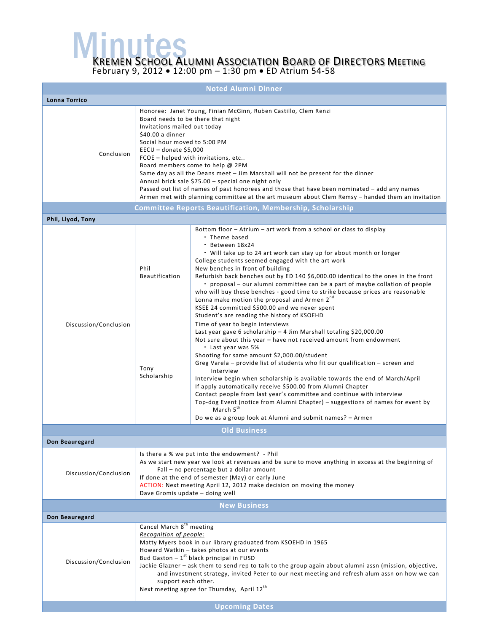**MENUTES**<br>KREMEN SCHOOL ALUMNI ASSOCIATION BOARD OF DIRECTORS MEETING

February 9, 2012 • 12:00 pm – 1:30 pm • ED Atrium 54-58

| <b>Noted Alumni Dinner</b> |                                                                                                                                                                                                                                                                                                                                                                                                                                                                                                                                                                                                                                               |                                                                                                                                                                                                                                                                                                                                                                                                                                                                                                                                                                                                                                                                                                                                                                                                                                                                                                                                                                                                                                                                                                                                                                                                                                                                                                                                                                                                                                               |  |  |  |
|----------------------------|-----------------------------------------------------------------------------------------------------------------------------------------------------------------------------------------------------------------------------------------------------------------------------------------------------------------------------------------------------------------------------------------------------------------------------------------------------------------------------------------------------------------------------------------------------------------------------------------------------------------------------------------------|-----------------------------------------------------------------------------------------------------------------------------------------------------------------------------------------------------------------------------------------------------------------------------------------------------------------------------------------------------------------------------------------------------------------------------------------------------------------------------------------------------------------------------------------------------------------------------------------------------------------------------------------------------------------------------------------------------------------------------------------------------------------------------------------------------------------------------------------------------------------------------------------------------------------------------------------------------------------------------------------------------------------------------------------------------------------------------------------------------------------------------------------------------------------------------------------------------------------------------------------------------------------------------------------------------------------------------------------------------------------------------------------------------------------------------------------------|--|--|--|
| Lonna Torrico              |                                                                                                                                                                                                                                                                                                                                                                                                                                                                                                                                                                                                                                               |                                                                                                                                                                                                                                                                                                                                                                                                                                                                                                                                                                                                                                                                                                                                                                                                                                                                                                                                                                                                                                                                                                                                                                                                                                                                                                                                                                                                                                               |  |  |  |
| Conclusion                 | Honoree: Janet Young, Finian McGinn, Ruben Castillo, Clem Renzi<br>Board needs to be there that night<br>Invitations mailed out today<br>\$40.00 a dinner<br>Social hour moved to 5:00 PM<br>$EECU - donate$ \$5,000<br>FCOE - helped with invitations, etc<br>Board members come to help @ 2PM<br>Same day as all the Deans meet - Jim Marshall will not be present for the dinner<br>Annual brick sale \$75.00 - special one night only<br>Passed out list of names of past honorees and those that have been nominated - add any names<br>Armen met with planning committee at the art museum about Clem Remsy - handed them an invitation |                                                                                                                                                                                                                                                                                                                                                                                                                                                                                                                                                                                                                                                                                                                                                                                                                                                                                                                                                                                                                                                                                                                                                                                                                                                                                                                                                                                                                                               |  |  |  |
|                            |                                                                                                                                                                                                                                                                                                                                                                                                                                                                                                                                                                                                                                               | <b>Committee Reports Beautification, Membership, Scholarship</b>                                                                                                                                                                                                                                                                                                                                                                                                                                                                                                                                                                                                                                                                                                                                                                                                                                                                                                                                                                                                                                                                                                                                                                                                                                                                                                                                                                              |  |  |  |
| Phil, Llyod, Tony          |                                                                                                                                                                                                                                                                                                                                                                                                                                                                                                                                                                                                                                               |                                                                                                                                                                                                                                                                                                                                                                                                                                                                                                                                                                                                                                                                                                                                                                                                                                                                                                                                                                                                                                                                                                                                                                                                                                                                                                                                                                                                                                               |  |  |  |
| Discussion/Conclusion      | Phil<br><b>Beautification</b><br>Tony<br>Scholarship                                                                                                                                                                                                                                                                                                                                                                                                                                                                                                                                                                                          | Bottom floor – Atrium – art work from a school or class to display<br>• Theme based<br>· Between 18x24<br>• Will take up to 24 art work can stay up for about month or longer<br>College students seemed engaged with the art work<br>New benches in front of building<br>Refurbish back benches out by ED 140 \$6,000.00 identical to the ones in the front<br>• proposal – our alumni committee can be a part of maybe collation of people<br>who will buy these benches - good time to strike because prices are reasonable<br>Lonna make motion the proposal and Armen 2 <sup>nd</sup><br>KSEE 24 committed \$500.00 and we never spent<br>Student's are reading the history of KSOEHD<br>Time of year to begin interviews<br>Last year gave 6 scholarship - 4 Jim Marshall totaling \$20,000.00<br>Not sure about this year - have not received amount from endowment<br>• Last year was 5%<br>Shooting for same amount \$2,000.00/student<br>Greg Varela - provide list of students who fit our qualification - screen and<br>Interview<br>Interview begin when scholarship is available towards the end of March/April<br>If apply automatically receive \$500.00 from Alumni Chapter<br>Contact people from last year's committee and continue with interview<br>Top-dog Event (notice from Alumni Chapter) - suggestions of names for event by<br>March 5 <sup>th</sup><br>Do we as a group look at Alumni and submit names? - Armen |  |  |  |
|                            |                                                                                                                                                                                                                                                                                                                                                                                                                                                                                                                                                                                                                                               | <b>Old Business</b>                                                                                                                                                                                                                                                                                                                                                                                                                                                                                                                                                                                                                                                                                                                                                                                                                                                                                                                                                                                                                                                                                                                                                                                                                                                                                                                                                                                                                           |  |  |  |
| Don Beauregard             |                                                                                                                                                                                                                                                                                                                                                                                                                                                                                                                                                                                                                                               |                                                                                                                                                                                                                                                                                                                                                                                                                                                                                                                                                                                                                                                                                                                                                                                                                                                                                                                                                                                                                                                                                                                                                                                                                                                                                                                                                                                                                                               |  |  |  |
| Discussion/Conclusion      | Is there a % we put into the endowment? - Phil<br>As we start new year we look at revenues and be sure to move anything in excess at the beginning of<br>Fall - no percentage but a dollar amount<br>If done at the end of semester (May) or early June<br>ACTION: Next meeting April 12, 2012 make decision on moving the money<br>Dave Gromis update - doing well                                                                                                                                                                                                                                                                           |                                                                                                                                                                                                                                                                                                                                                                                                                                                                                                                                                                                                                                                                                                                                                                                                                                                                                                                                                                                                                                                                                                                                                                                                                                                                                                                                                                                                                                               |  |  |  |
|                            |                                                                                                                                                                                                                                                                                                                                                                                                                                                                                                                                                                                                                                               | <b>New Business</b>                                                                                                                                                                                                                                                                                                                                                                                                                                                                                                                                                                                                                                                                                                                                                                                                                                                                                                                                                                                                                                                                                                                                                                                                                                                                                                                                                                                                                           |  |  |  |
| Don Beauregard             |                                                                                                                                                                                                                                                                                                                                                                                                                                                                                                                                                                                                                                               |                                                                                                                                                                                                                                                                                                                                                                                                                                                                                                                                                                                                                                                                                                                                                                                                                                                                                                                                                                                                                                                                                                                                                                                                                                                                                                                                                                                                                                               |  |  |  |
| Discussion/Conclusion      | Cancel March 8 <sup>th</sup> meeting<br>Recognition of people:<br>Matty Myers book in our library graduated from KSOEHD in 1965<br>Howard Watkin - takes photos at our events<br>Bud Gaston $-1^{st}$ black principal in FUSD<br>Jackie Glazner - ask them to send rep to talk to the group again about alumni assn (mission, objective,<br>and investment strategy, invited Peter to our next meeting and refresh alum assn on how we can<br>support each other.<br>Next meeting agree for Thursday, April 12th<br><b>Upcoming Dates</b>                                                                                                     |                                                                                                                                                                                                                                                                                                                                                                                                                                                                                                                                                                                                                                                                                                                                                                                                                                                                                                                                                                                                                                                                                                                                                                                                                                                                                                                                                                                                                                               |  |  |  |